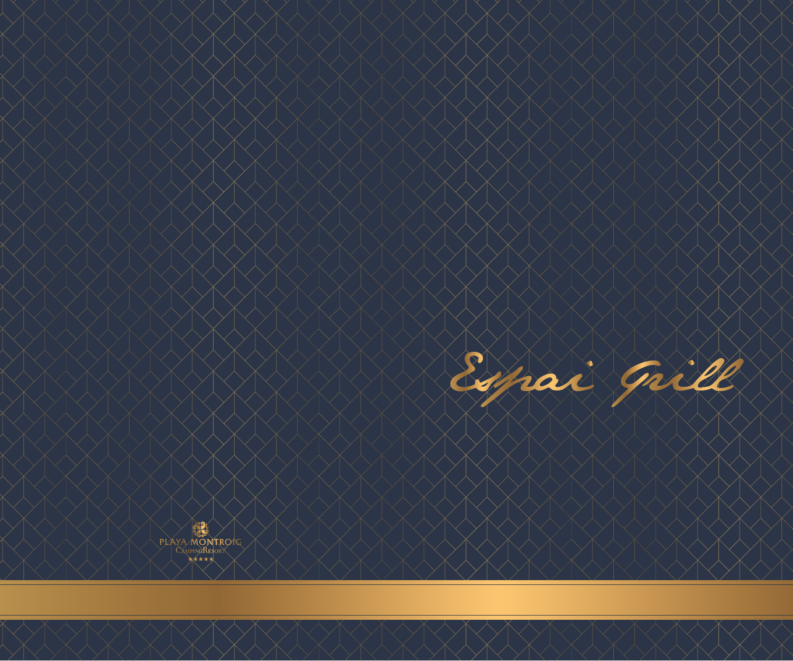